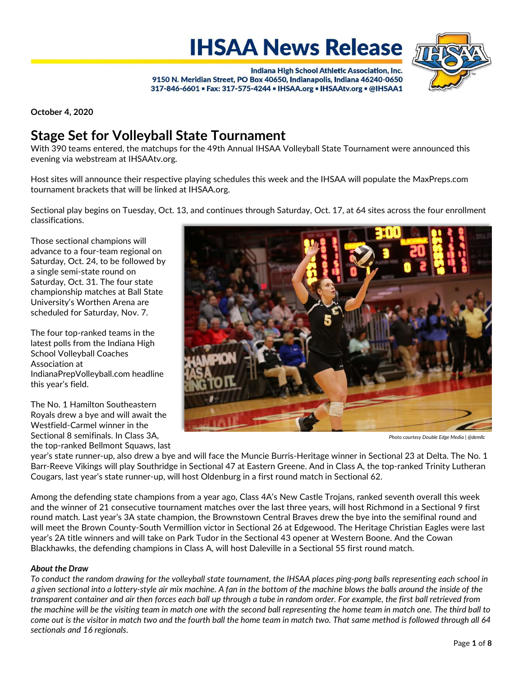**IHSAA News Release** 



Indiana High School Athletic Association, Inc. 9150 N. Meridian Street, PO Box 40650, Indianapolis, Indiana 46240-0650 317-846-6601 = Fax: 317-575-4244 = IHSAA.org = IHSAAtv.org = @IHSAA1

October 4, 2020

# Stage Set for Volleyball State Tournament

With 390 teams entered, the matchups for the 49th Annual IHSAA Volleyball State Tournament were announced this evening via webstream at IHSAAtv.org.

Host sites will announce their respective playing schedules this week and the IHSAA will populate the MaxPreps.com tournament brackets that will be linked at IHSAA.org.

Sectional play begins on Tuesday, Oct. 13, and continues through Saturday, Oct. 17, at 64 sites across the four enrollment classifications.

Those sectional champions will advance to a four-team regional on Saturday, Oct. 24, to be followed by a single semi-state round on Saturday, Oct. 31. The four state championship matches at Ball State University's Worthen Arena are scheduled for Saturday, Nov. 7.

The four top-ranked teams in the latest polls from the Indiana High School Volleyball Coaches Association at IndianaPrepVolleyball.com headline this year's field.

The No. 1 Hamilton Southeastern Royals drew a bye and will await the Westfield-Carmel winner in the Sectional 8 semifinals. In Class 3A, the top-ranked Bellmont Squaws, last



Photo courtesy Double Edge Media | @demllc

year's state runner-up, also drew a bye and will face the Muncie Burris-Heritage winner in Sectional 23 at Delta. The No. 1 Barr-Reeve Vikings will play Southridge in Sectional 47 at Eastern Greene. And in Class A, the top-ranked Trinity Lutheran Cougars, last year's state runner-up, will host Oldenburg in a first round match in Sectional 62.

Among the defending state champions from a year ago, Class 4A's New Castle Trojans, ranked seventh overall this week and the winner of 21 consecutive tournament matches over the last three years, will host Richmond in a Sectional 9 first round match. Last year's 3A state champion, the Brownstown Central Braves drew the bye into the semifinal round and will meet the Brown County-South Vermillion victor in Sectional 26 at Edgewood. The Heritage Christian Eagles were last year's 2A title winners and will take on Park Tudor in the Sectional 43 opener at Western Boone. And the Cowan Blackhawks, the defending champions in Class A, will host Daleville in a Sectional 55 first round match.

# About the Draw

To conduct the random drawing for the volleyball state tournament, the IHSAA places ping-pong balls representing each school in a given sectional into a lottery-style air mix machine. A fan in the bottom of the machine blows the balls around the inside of the transparent container and air then forces each ball up through a tube in random order. For example, the first ball retrieved from the machine will be the visiting team in match one with the second ball representing the home team in match one. The third ball to come out is the visitor in match two and the fourth ball the home team in match two. That same method is followed through all 64 sectionals and 16 regionals.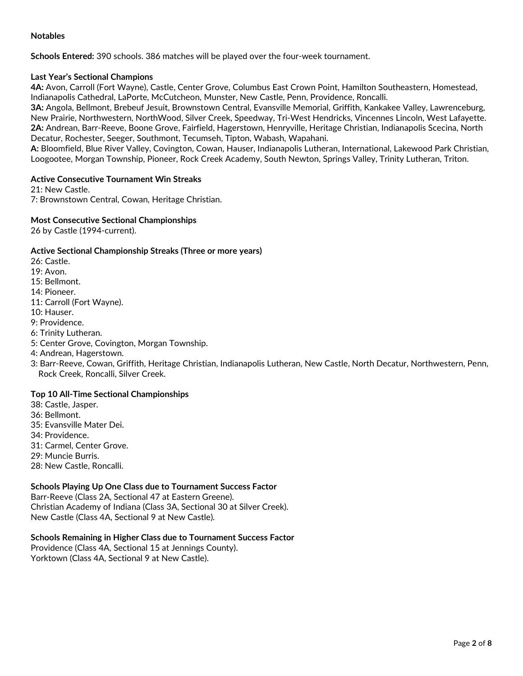# Notables

Schools Entered: 390 schools. 386 matches will be played over the four-week tournament.

# Last Year's Sectional Champions

4A: Avon, Carroll (Fort Wayne), Castle, Center Grove, Columbus East Crown Point, Hamilton Southeastern, Homestead, Indianapolis Cathedral, LaPorte, McCutcheon, Munster, New Castle, Penn, Providence, Roncalli.

3A: Angola, Bellmont, Brebeuf Jesuit, Brownstown Central, Evansville Memorial, Griffith, Kankakee Valley, Lawrenceburg, New Prairie, Northwestern, NorthWood, Silver Creek, Speedway, Tri-West Hendricks, Vincennes Lincoln, West Lafayette. 2A: Andrean, Barr-Reeve, Boone Grove, Fairfield, Hagerstown, Henryville, Heritage Christian, Indianapolis Scecina, North Decatur, Rochester, Seeger, Southmont, Tecumseh, Tipton, Wabash, Wapahani.

A: Bloomfield, Blue River Valley, Covington, Cowan, Hauser, Indianapolis Lutheran, International, Lakewood Park Christian, Loogootee, Morgan Township, Pioneer, Rock Creek Academy, South Newton, Springs Valley, Trinity Lutheran, Triton.

## Active Consecutive Tournament Win Streaks

21: New Castle. 7: Brownstown Central, Cowan, Heritage Christian.

## Most Consecutive Sectional Championships

26 by Castle (1994-current).

# Active Sectional Championship Streaks (Three or more years)

26: Castle.

19: Avon.

15: Bellmont.

14: Pioneer.

11: Carroll (Fort Wayne).

10: Hauser.

9: Providence.

6: Trinity Lutheran.

5: Center Grove, Covington, Morgan Township.

4: Andrean, Hagerstown.

3: Barr-Reeve, Cowan, Griffith, Heritage Christian, Indianapolis Lutheran, New Castle, North Decatur, Northwestern, Penn, Rock Creek, Roncalli, Silver Creek.

# Top 10 All-Time Sectional Championships

38: Castle, Jasper.

- 36: Bellmont.
- 35: Evansville Mater Dei.

34: Providence.

31: Carmel, Center Grove.

29: Muncie Burris.

28: New Castle, Roncalli.

# Schools Playing Up One Class due to Tournament Success Factor

Barr-Reeve (Class 2A, Sectional 47 at Eastern Greene). Christian Academy of Indiana (Class 3A, Sectional 30 at Silver Creek). New Castle (Class 4A, Sectional 9 at New Castle).

# Schools Remaining in Higher Class due to Tournament Success Factor

Providence (Class 4A, Sectional 15 at Jennings County). Yorktown (Class 4A, Sectional 9 at New Castle).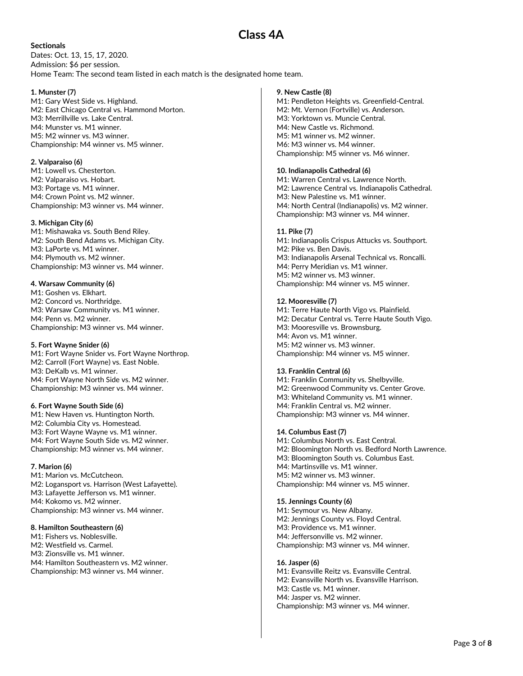#### **Sectionals**

Dates: Oct. 13, 15, 17, 2020. Admission: \$6 per session. Home Team: The second team listed in each match is the designated home team.

#### 1. Munster (7)

M1: Gary West Side vs. Highland. M2: East Chicago Central vs. Hammond Morton. M3: Merrillville vs. Lake Central. M4: Munster vs. M1 winner. M5: M2 winner vs. M3 winner. Championship: M4 winner vs. M5 winner.

#### 2. Valparaiso (6)

M1: Lowell vs. Chesterton. M2: Valparaiso vs. Hobart. M3: Portage vs. M1 winner. M4: Crown Point vs. M2 winner. Championship: M3 winner vs. M4 winner.

#### 3. Michigan City (6)

M1: Mishawaka vs. South Bend Riley. M2: South Bend Adams vs. Michigan City. M3: LaPorte vs. M1 winner. M4: Plymouth vs. M2 winner. Championship: M3 winner vs. M4 winner.

#### 4. Warsaw Community (6)

M1: Goshen vs. Elkhart. M2: Concord vs. Northridge. M3: Warsaw Community vs. M1 winner. M4: Penn vs. M2 winner. Championship: M3 winner vs. M4 winner.

#### 5. Fort Wayne Snider (6)

M1: Fort Wayne Snider vs. Fort Wayne Northrop. M2: Carroll (Fort Wayne) vs. East Noble. M3: DeKalb vs. M1 winner. M4: Fort Wayne North Side vs. M2 winner. Championship: M3 winner vs. M4 winner.

#### 6. Fort Wayne South Side (6)

M1: New Haven vs. Huntington North. M2: Columbia City vs. Homestead. M3: Fort Wayne Wayne vs. M1 winner. M4: Fort Wayne South Side vs. M2 winner. Championship: M3 winner vs. M4 winner.

#### 7. Marion (6)

M1: Marion vs. McCutcheon. M2: Logansport vs. Harrison (West Lafayette). M3: Lafayette Jefferson vs. M1 winner. M4: Kokomo vs. M2 winner. Championship: M3 winner vs. M4 winner.

#### 8. Hamilton Southeastern (6)

M1: Fishers vs. Noblesville. M2: Westfield vs. Carmel. M3: Zionsville vs. M1 winner. M4: Hamilton Southeastern vs. M2 winner. Championship: M3 winner vs. M4 winner.

#### 9. New Castle (8)

Class 4A

M1: Pendleton Heights vs. Greenfield-Central. M2: Mt. Vernon (Fortville) vs. Anderson. M3: Yorktown vs. Muncie Central. M4: New Castle vs. Richmond. M5: M1 winner vs. M2 winner. M6: M3 winner vs. M4 winner. Championship: M5 winner vs. M6 winner.

#### 10. Indianapolis Cathedral (6)

M1: Warren Central vs. Lawrence North. M2: Lawrence Central vs. Indianapolis Cathedral. M3: New Palestine vs. M1 winner. M4: North Central (Indianapolis) vs. M2 winner. Championship: M3 winner vs. M4 winner.

#### 11. Pike (7)

M1: Indianapolis Crispus Attucks vs. Southport. M2: Pike vs. Ben Davis. M3: Indianapolis Arsenal Technical vs. Roncalli. M4: Perry Meridian vs. M1 winner. M5: M2 winner vs. M3 winner. Championship: M4 winner vs. M5 winner.

#### 12. Mooresville (7)

M1: Terre Haute North Vigo vs. Plainfield. M2: Decatur Central vs. Terre Haute South Vigo. M3: Mooresville vs. Brownsburg. M4: Avon vs. M1 winner. M5: M2 winner vs. M3 winner. Championship: M4 winner vs. M5 winner.

#### 13. Franklin Central (6)

M1: Franklin Community vs. Shelbyville. M2: Greenwood Community vs. Center Grove. M3: Whiteland Community vs. M1 winner. M4: Franklin Central vs. M2 winner. Championship: M3 winner vs. M4 winner.

#### 14. Columbus East (7)

M1: Columbus North vs. East Central. M2: Bloomington North vs. Bedford North Lawrence. M3: Bloomington South vs. Columbus East. M4: Martinsville vs. M1 winner. M5: M2 winner vs. M3 winner. Championship: M4 winner vs. M5 winner.

#### 15. Jennings County (6)

M1: Seymour vs. New Albany. M2: Jennings County vs. Floyd Central. M3: Providence vs. M1 winner. M4: Jeffersonville vs. M2 winner. Championship: M3 winner vs. M4 winner.

#### 16. Jasper (6)

M1: Evansville Reitz vs. Evansville Central. M2: Evansville North vs. Evansville Harrison. M3: Castle vs. M1 winner. M4: Jasper vs. M2 winner. Championship: M3 winner vs. M4 winner.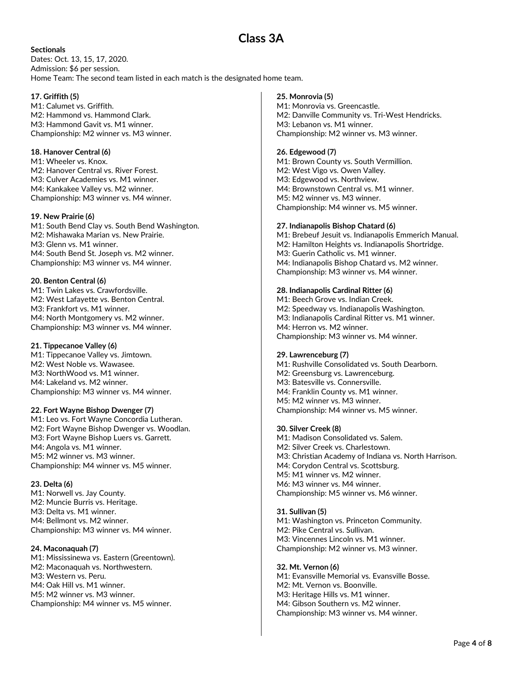#### **Sectionals**

Dates: Oct. 13, 15, 17, 2020. Admission: \$6 per session. Home Team: The second team listed in each match is the designated home team.

#### 17. Griffith (5)

M1: Calumet vs. Griffith. M2: Hammond vs. Hammond Clark. M3: Hammond Gavit vs. M1 winner. Championship: M2 winner vs. M3 winner.

## 18. Hanover Central (6)

M1: Wheeler vs. Knox. M2: Hanover Central vs. River Forest. M3: Culver Academies vs. M1 winner. M4: Kankakee Valley vs. M2 winner. Championship: M3 winner vs. M4 winner.

#### 19. New Prairie (6)

M1: South Bend Clay vs. South Bend Washington. M2: Mishawaka Marian vs. New Prairie. M3: Glenn vs. M1 winner. M4: South Bend St. Joseph vs. M2 winner. Championship: M3 winner vs. M4 winner.

## 20. Benton Central (6)

M1: Twin Lakes vs. Crawfordsville. M2: West Lafayette vs. Benton Central. M3: Frankfort vs. M1 winner. M4: North Montgomery vs. M2 winner. Championship: M3 winner vs. M4 winner.

## 21. Tippecanoe Valley (6)

M1: Tippecanoe Valley vs. Jimtown. M2: West Noble vs. Wawasee. M3: NorthWood vs. M1 winner. M4: Lakeland vs. M2 winner. Championship: M3 winner vs. M4 winner.

#### 22. Fort Wayne Bishop Dwenger (7)

M1: Leo vs. Fort Wayne Concordia Lutheran. M2: Fort Wayne Bishop Dwenger vs. Woodlan. M3: Fort Wayne Bishop Luers vs. Garrett. M4: Angola vs. M1 winner. M5: M2 winner vs. M3 winner. Championship: M4 winner vs. M5 winner.

## 23. Delta (6)

M1: Norwell vs. Jay County. M2: Muncie Burris vs. Heritage. M3: Delta vs. M1 winner. M4: Bellmont vs. M2 winner. Championship: M3 winner vs. M4 winner.

## 24. Maconaquah (7)

M1: Mississinewa vs. Eastern (Greentown). M2: Maconaquah vs. Northwestern. M3: Western vs. Peru. M4: Oak Hill vs. M1 winner. M5: M2 winner vs. M3 winner. Championship: M4 winner vs. M5 winner.

#### 25. Monrovia (5)

M1: Monrovia vs. Greencastle. M2: Danville Community vs. Tri-West Hendricks. M3: Lebanon vs. M1 winner. Championship: M2 winner vs. M3 winner.

#### 26. Edgewood (7)

M1: Brown County vs. South Vermillion. M2: West Vigo vs. Owen Valley. M3: Edgewood vs. Northview. M4: Brownstown Central vs. M1 winner. M5: M2 winner vs. M3 winner. Championship: M4 winner vs. M5 winner.

#### 27. Indianapolis Bishop Chatard (6)

M1: Brebeuf Jesuit vs. Indianapolis Emmerich Manual. M2: Hamilton Heights vs. Indianapolis Shortridge. M3: Guerin Catholic vs. M1 winner. M4: Indianapolis Bishop Chatard vs. M2 winner. Championship: M3 winner vs. M4 winner.

#### 28. Indianapolis Cardinal Ritter (6)

M1: Beech Grove vs. Indian Creek. M2: Speedway vs. Indianapolis Washington. M3: Indianapolis Cardinal Ritter vs. M1 winner. M4: Herron vs. M2 winner. Championship: M3 winner vs. M4 winner.

#### 29. Lawrenceburg (7)

M1: Rushville Consolidated vs. South Dearborn. M2: Greensburg vs. Lawrenceburg. M3: Batesville vs. Connersville. M4: Franklin County vs. M1 winner. M5: M2 winner vs. M3 winner. Championship: M4 winner vs. M5 winner.

#### 30. Silver Creek (8)

M1: Madison Consolidated vs. Salem. M2: Silver Creek vs. Charlestown. M3: Christian Academy of Indiana vs. North Harrison. M4: Corydon Central vs. Scottsburg. M5: M1 winner vs. M2 winner. M6: M3 winner vs. M4 winner. Championship: M5 winner vs. M6 winner.

## 31. Sullivan (5)

M1: Washington vs. Princeton Community. M2: Pike Central vs. Sullivan. M3: Vincennes Lincoln vs. M1 winner. Championship: M2 winner vs. M3 winner.

## 32. Mt. Vernon (6)

M1: Evansville Memorial vs. Evansville Bosse. M2: Mt. Vernon vs. Boonville. M3: Heritage Hills vs. M1 winner. M4: Gibson Southern vs. M2 winner. Championship: M3 winner vs. M4 winner.

# Class 3A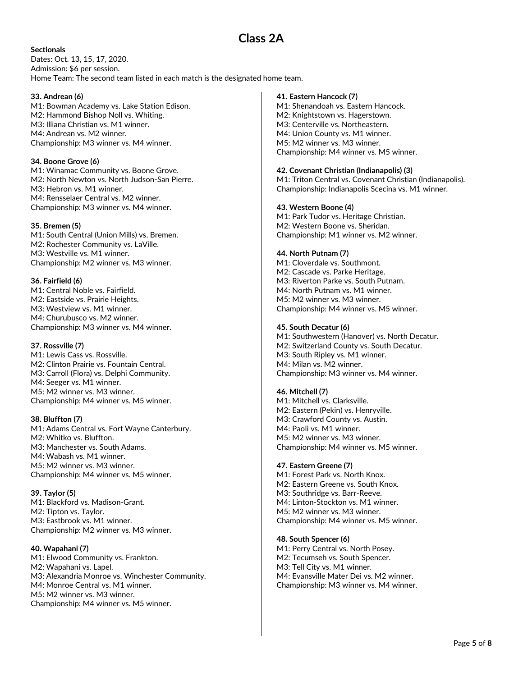# Class 2A

**Sectionals** Dates: Oct. 13, 15, 17, 2020. Admission: \$6 per session. Home Team: The second team listed in each match is the designated home team.

## 33. Andrean (6)

M1: Bowman Academy vs. Lake Station Edison. M2: Hammond Bishop Noll vs. Whiting. M3: Illiana Christian vs. M1 winner. M4: Andrean vs. M2 winner. Championship: M3 winner vs. M4 winner.

## 34. Boone Grove (6)

M1: Winamac Community vs. Boone Grove. M2: North Newton vs. North Judson-San Pierre. M3: Hebron vs. M1 winner. M4: Rensselaer Central vs. M2 winner. Championship: M3 winner vs. M4 winner.

## 35. Bremen (5)

M1: South Central (Union Mills) vs. Bremen. M2: Rochester Community vs. LaVille. M3: Westville vs. M1 winner. Championship: M2 winner vs. M3 winner.

## 36. Fairfield (6)

M1: Central Noble vs. Fairfield. M2: Eastside vs. Prairie Heights. M3: Westview vs. M1 winner. M4: Churubusco vs. M2 winner. Championship: M3 winner vs. M4 winner.

## 37. Rossville (7)

M1: Lewis Cass vs. Rossville. M2: Clinton Prairie vs. Fountain Central. M3: Carroll (Flora) vs. Delphi Community. M4: Seeger vs. M1 winner. M5: M2 winner vs. M3 winner. Championship: M4 winner vs. M5 winner.

## 38. Bluffton (7)

M1: Adams Central vs. Fort Wayne Canterbury. M2: Whitko vs. Bluffton. M3: Manchester vs. South Adams. M4: Wabash vs. M1 winner. M5: M2 winner vs. M3 winner. Championship: M4 winner vs. M5 winner.

## 39. Taylor (5)

M1: Blackford vs. Madison-Grant. M2: Tipton vs. Taylor. M3: Eastbrook vs. M1 winner. Championship: M2 winner vs. M3 winner.

# 40. Wapahani (7)

M1: Elwood Community vs. Frankton. M2: Wapahani vs. Lapel. M3: Alexandria Monroe vs. Winchester Community. M4: Monroe Central vs. M1 winner. M5: M2 winner vs. M3 winner. Championship: M4 winner vs. M5 winner.

#### 41. Eastern Hancock (7)

M1: Shenandoah vs. Eastern Hancock. M2: Knightstown vs. Hagerstown. M3: Centerville vs. Northeastern. M4: Union County vs. M1 winner. M5: M2 winner vs. M3 winner. Championship: M4 winner vs. M5 winner.

## 42. Covenant Christian (Indianapolis) (3)

M1: Triton Central vs. Covenant Christian (Indianapolis). Championship: Indianapolis Scecina vs. M1 winner.

## 43. Western Boone (4)

M1: Park Tudor vs. Heritage Christian. M2: Western Boone vs. Sheridan. Championship: M1 winner vs. M2 winner.

## 44. North Putnam (7)

M1: Cloverdale vs. Southmont. M2: Cascade vs. Parke Heritage. M3: Riverton Parke vs. South Putnam. M4: North Putnam vs. M1 winner. M5: M2 winner vs. M3 winner. Championship: M4 winner vs. M5 winner.

#### 45. South Decatur (6)

M1: Southwestern (Hanover) vs. North Decatur. M2: Switzerland County vs. South Decatur. M3: South Ripley vs. M1 winner. M4: Milan vs. M2 winner. Championship: M3 winner vs. M4 winner.

## 46. Mitchell (7)

M1: Mitchell vs. Clarksville. M2: Eastern (Pekin) vs. Henryville. M3: Crawford County vs. Austin. M4: Paoli vs. M1 winner. M5: M2 winner vs. M3 winner. Championship: M4 winner vs. M5 winner.

## 47. Eastern Greene (7)

M1: Forest Park vs. North Knox. M2: Eastern Greene vs. South Knox. M3: Southridge vs. Barr-Reeve. M4: Linton-Stockton vs. M1 winner. M5: M2 winner vs. M3 winner. Championship: M4 winner vs. M5 winner.

## 48. South Spencer (6)

M1: Perry Central vs. North Posey. M2: Tecumseh vs. South Spencer. M3: Tell City vs. M1 winner. M4: Evansville Mater Dei vs. M2 winner. Championship: M3 winner vs. M4 winner.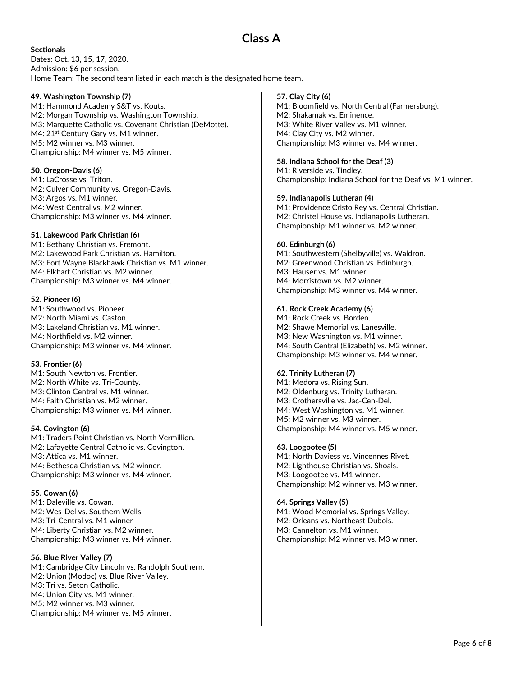# Class A

**Sectionals** Dates: Oct. 13, 15, 17, 2020. Admission: \$6 per session. Home Team: The second team listed in each match is the designated home team.

## 49. Washington Township (7)

M1: Hammond Academy S&T vs. Kouts. M2: Morgan Township vs. Washington Township. M3: Marquette Catholic vs. Covenant Christian (DeMotte). M4: 21<sup>st</sup> Century Gary vs. M1 winner. M5: M2 winner vs. M3 winner. Championship: M4 winner vs. M5 winner.

## 50. Oregon-Davis (6)

M1: LaCrosse vs. Triton. M2: Culver Community vs. Oregon-Davis. M3: Argos vs. M1 winner. M4: West Central vs. M2 winner. Championship: M3 winner vs. M4 winner.

## 51. Lakewood Park Christian (6)

M1: Bethany Christian vs. Fremont. M2: Lakewood Park Christian vs. Hamilton. M3: Fort Wayne Blackhawk Christian vs. M1 winner. M4: Elkhart Christian vs. M2 winner. Championship: M3 winner vs. M4 winner.

## 52. Pioneer (6)

M1: Southwood vs. Pioneer. M2: North Miami vs. Caston. M3: Lakeland Christian vs. M1 winner. M4: Northfield vs. M2 winner. Championship: M3 winner vs. M4 winner.

## 53. Frontier (6)

M1: South Newton vs. Frontier. M2: North White vs. Tri-County. M3: Clinton Central vs. M1 winner. M4: Faith Christian vs. M2 winner. Championship: M3 winner vs. M4 winner.

# 54. Covington (6)

M1: Traders Point Christian vs. North Vermillion. M2: Lafayette Central Catholic vs. Covington. M3: Attica vs. M1 winner. M4: Bethesda Christian vs. M2 winner. Championship: M3 winner vs. M4 winner.

## 55. Cowan (6)

M1: Daleville vs. Cowan. M2: Wes-Del vs. Southern Wells. M3: Tri-Central vs. M1 winner M4: Liberty Christian vs. M2 winner. Championship: M3 winner vs. M4 winner.

# 56. Blue River Valley (7)

M1: Cambridge City Lincoln vs. Randolph Southern. M2: Union (Modoc) vs. Blue River Valley. M3: Tri vs. Seton Catholic. M4: Union City vs. M1 winner. M5: M2 winner vs. M3 winner. Championship: M4 winner vs. M5 winner.

## 57. Clay City (6)

M1: Bloomfield vs. North Central (Farmersburg). M2: Shakamak vs. Eminence. M3: White River Valley vs. M1 winner. M4: Clay City vs. M2 winner. Championship: M3 winner vs. M4 winner.

## 58. Indiana School for the Deaf (3)

M1: Riverside vs. Tindley. Championship: Indiana School for the Deaf vs. M1 winner.

## 59. Indianapolis Lutheran (4)

M1: Providence Cristo Rey vs. Central Christian. M2: Christel House vs. Indianapolis Lutheran. Championship: M1 winner vs. M2 winner.

## 60. Edinburgh (6)

M1: Southwestern (Shelbyville) vs. Waldron. M2: Greenwood Christian vs. Edinburgh. M3: Hauser vs. M1 winner. M4: Morristown vs. M2 winner. Championship: M3 winner vs. M4 winner.

#### 61. Rock Creek Academy (6)

M1: Rock Creek vs. Borden. M2: Shawe Memorial vs. Lanesville. M3: New Washington vs. M1 winner. M4: South Central (Elizabeth) vs. M2 winner. Championship: M3 winner vs. M4 winner.

## 62. Trinity Lutheran (7)

M1: Medora vs. Rising Sun. M2: Oldenburg vs. Trinity Lutheran. M3: Crothersville vs. Jac-Cen-Del. M4: West Washington vs. M1 winner. M5: M2 winner vs. M3 winner. Championship: M4 winner vs. M5 winner.

#### 63. Loogootee (5)

M1: North Daviess vs. Vincennes Rivet. M2: Lighthouse Christian vs. Shoals. M3: Loogootee vs. M1 winner. Championship: M2 winner vs. M3 winner.

## 64. Springs Valley (5)

M1: Wood Memorial vs. Springs Valley. M2: Orleans vs. Northeast Dubois. M3: Cannelton vs. M1 winner. Championship: M2 winner vs. M3 winner.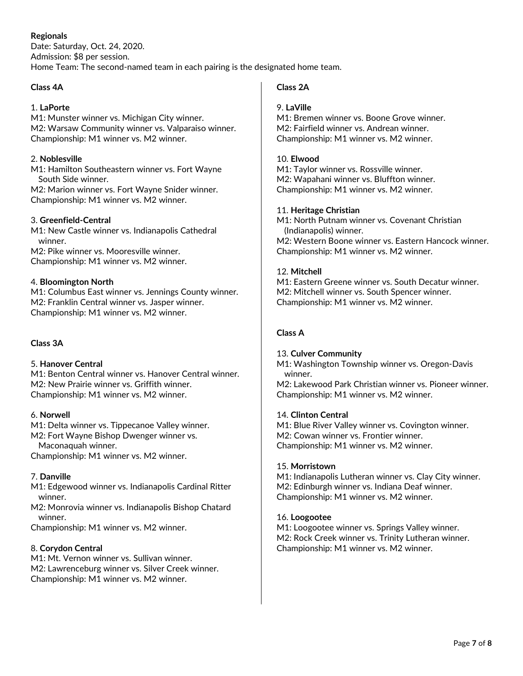# Regionals

Date: Saturday, Oct. 24, 2020. Admission: \$8 per session. Home Team: The second-named team in each pairing is the designated home team.

# Class 4A

# 1. LaPorte

M1: Munster winner vs. Michigan City winner. M2: Warsaw Community winner vs. Valparaiso winner. Championship: M1 winner vs. M2 winner.

## 2. Noblesville

M1: Hamilton Southeastern winner vs. Fort Wayne South Side winner.

M2: Marion winner vs. Fort Wayne Snider winner. Championship: M1 winner vs. M2 winner.

## 3. Greenfield-Central

M1: New Castle winner vs. Indianapolis Cathedral winner.

M2: Pike winner vs. Mooresville winner. Championship: M1 winner vs. M2 winner.

# 4. Bloomington North

M1: Columbus East winner vs. Jennings County winner. M2: Franklin Central winner vs. Jasper winner. Championship: M1 winner vs. M2 winner.

# Class 3A

# 5. Hanover Central

M1: Benton Central winner vs. Hanover Central winner. M2: New Prairie winner vs. Griffith winner. Championship: M1 winner vs. M2 winner.

# 6. Norwell

M1: Delta winner vs. Tippecanoe Valley winner.

M2: Fort Wayne Bishop Dwenger winner vs.

Maconaquah winner.

Championship: M1 winner vs. M2 winner.

# 7. Danville

M1: Edgewood winner vs. Indianapolis Cardinal Ritter winner.

M2: Monrovia winner vs. Indianapolis Bishop Chatard winner.

Championship: M1 winner vs. M2 winner.

# 8. Corydon Central

M1: Mt. Vernon winner vs. Sullivan winner. M2: Lawrenceburg winner vs. Silver Creek winner. Championship: M1 winner vs. M2 winner.

# Class 2A

# 9. LaVille

M1: Bremen winner vs. Boone Grove winner. M2: Fairfield winner vs. Andrean winner. Championship: M1 winner vs. M2 winner.

# 10. Elwood

M1: Taylor winner vs. Rossville winner. M2: Wapahani winner vs. Bluffton winner. Championship: M1 winner vs. M2 winner.

## 11. Heritage Christian

M1: North Putnam winner vs. Covenant Christian (Indianapolis) winner. M2: Western Boone winner vs. Eastern Hancock winner. Championship: M1 winner vs. M2 winner.

# 12. Mitchell

M1: Eastern Greene winner vs. South Decatur winner. M2: Mitchell winner vs. South Spencer winner. Championship: M1 winner vs. M2 winner.

# Class A

# 13. Culver Community

M1: Washington Township winner vs. Oregon-Davis winner.

M2: Lakewood Park Christian winner vs. Pioneer winner. Championship: M1 winner vs. M2 winner.

# 14. Clinton Central

M1: Blue River Valley winner vs. Covington winner. M2: Cowan winner vs. Frontier winner. Championship: M1 winner vs. M2 winner.

# 15. Morristown

M1: Indianapolis Lutheran winner vs. Clay City winner. M2: Edinburgh winner vs. Indiana Deaf winner. Championship: M1 winner vs. M2 winner.

## 16. Loogootee

M1: Loogootee winner vs. Springs Valley winner. M2: Rock Creek winner vs. Trinity Lutheran winner. Championship: M1 winner vs. M2 winner.